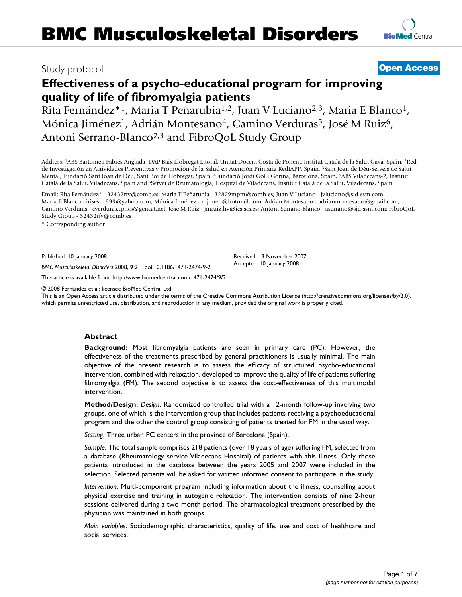# Study protocol **[Open Access](http://www.biomedcentral.com/info/about/charter/)**

**[BioMed](http://www.biomedcentral.com/)** Central

# **Effectiveness of a psycho-educational program for improving quality of life of fibromyalgia patients**

Rita Fernández\*<sup>1</sup>, Maria T Peñarubia<sup>1,2</sup>, Juan V Luciano<sup>2,3</sup>, Maria E Blanco<sup>1</sup>, Mónica Jiménez<sup>1</sup>, Adrián Montesano<sup>4</sup>, Camino Verduras<sup>5</sup>, José M Ruiz<sup>6</sup>, Antoni Serrano-Blanco<sup>2,3</sup> and FibroQoL Study Group

Address: 1ABS Bartomeu Fabrés Anglada, DAP Baix Llobregat Litoral, Unitat Docent Costa de Ponent, Institut Català de la Salut Gavà, Spain, 2Red de Investigación en Actividades Preventivas y Promoción de la Salud en Atención Primaria RedIAPP, Spain, 3Sant Joan de Déu-Serveis de Salut Mental, Fundació Sant Joan de Déu, Sant Boi de Llobregat, Spain, 4Fundació Jordi Gol i Gorina, Barcelona, Spain, 5ABS Viladecans-2, Institut Català de la Salut, Viladecans, Spain and 6Servei de Reumatología, Hospital de Viladecans, Institut Català de la Salut, Viladecans, Spain

Email: Rita Fernández\* - 32432rfv@comb.es; Maria T Peñarubia - 32829mpm@comb.es; Juan V Luciano - jvluciano@sjd-ssm.com; Maria E Blanco - irises\_1999@yahoo.com; Mónica Jiménez - mjimen@hotmail.com; Adrián Montesano - adrianmontesano@gmail.com; Camino Verduras - cverduras.cp.ics@gencat.net; José M Ruiz - jmruiz.hv@ics.scs.es; Antoni Serrano-Blanco - aserrano@sjd-ssm.com; FibroQoL Study Group - 32432rfv@comb.es

> Received: 13 November 2007 Accepted: 10 January 2008

\* Corresponding author

Published: 10 January 2008

*BMC Musculoskeletal Disorders* 2008, **9**:2 doi:10.1186/1471-2474-9-2

[This article is available from: http://www.biomedcentral.com/1471-2474/9/2](http://www.biomedcentral.com/1471-2474/9/2)

© 2008 Fernández et al; licensee BioMed Central Ltd.

This is an Open Access article distributed under the terms of the Creative Commons Attribution License [\(http://creativecommons.org/licenses/by/2.0\)](http://creativecommons.org/licenses/by/2.0), which permits unrestricted use, distribution, and reproduction in any medium, provided the original work is properly cited.

## **Abstract**

**Background:** Most fibromyalgia patients are seen in primary care (PC). However, the effectiveness of the treatments prescribed by general practitioners is usually minimal. The main objective of the present research is to assess the efficacy of structured psycho-educational intervention, combined with relaxation, developed to improve the quality of life of patients suffering fibromyalgia (FM). The second objective is to assess the cost-effectiveness of this multimodal intervention.

**Method/Design:** *Design*. Randomized controlled trial with a 12-month follow-up involving two groups, one of which is the intervention group that includes patients receiving a psychoeducational program and the other the control group consisting of patients treated for FM in the usual way.

*Setting*. Three urban PC centers in the province of Barcelona (Spain).

*Sample*. The total sample comprises 218 patients (over 18 years of age) suffering FM, selected from a database (Rheumatology service-Viladecans Hospital) of patients with this illness. Only those patients introduced in the database between the years 2005 and 2007 were included in the selection. Selected patients will be asked for written informed consent to participate in the study.

*Intervention*. Multi-component program including information about the illness, counselling about physical exercise and training in autogenic relaxation. The intervention consists of nine 2-hour sessions delivered during a two-month period. The pharmacological treatment prescribed by the physician was maintained in both groups.

*Main variables*. Sociodemographic characteristics, quality of life, use and cost of healthcare and social services.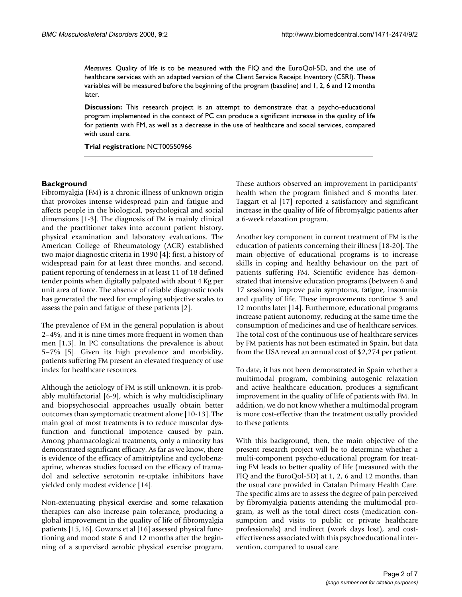*Measures*. Quality of life is to be measured with the FIQ and the EuroQol-5D, and the use of healthcare services with an adapted version of the Client Service Receipt Inventory (CSRI). These variables will be measured before the beginning of the program (baseline) and 1, 2, 6 and 12 months later.

**Discussion:** This research project is an attempt to demonstrate that a psycho-educational program implemented in the context of PC can produce a significant increase in the quality of life for patients with FM, as well as a decrease in the use of healthcare and social services, compared with usual care.

**Trial registration:** NCT00550966

## **Background**

Fibromyalgia (FM) is a chronic illness of unknown origin that provokes intense widespread pain and fatigue and affects people in the biological, psychological and social dimensions [1-3]. The diagnosis of FM is mainly clinical and the practitioner takes into account patient history, physical examination and laboratory evaluations. The American College of Rheumatology (ACR) established two major diagnostic criteria in 1990 [4]: first, a history of widespread pain for at least three months, and second, patient reporting of tenderness in at least 11 of 18 defined tender points when digitally palpated with about 4 Kg per unit area of force. The absence of reliable diagnostic tools has generated the need for employing subjective scales to assess the pain and fatigue of these patients [2].

The prevalence of FM in the general population is about 2–4%, and it is nine times more frequent in women than men [1,3]. In PC consultations the prevalence is about 5–7% [5]. Given its high prevalence and morbidity, patients suffering FM present an elevated frequency of use index for healthcare resources.

Although the aetiology of FM is still unknown, it is probably multifactorial [6-9], which is why multidisciplinary and biopsychosocial approaches usually obtain better outcomes than symptomatic treatment alone [10-13]. The main goal of most treatments is to reduce muscular dysfunction and functional impotence caused by pain. Among pharmacological treatments, only a minority has demonstrated significant efficacy. As far as we know, there is evidence of the efficacy of amitriptyline and cyclobenzaprine, whereas studies focused on the efficacy of tramadol and selective serotonin re-uptake inhibitors have yielded only modest evidence [14].

Non-extenuating physical exercise and some relaxation therapies can also increase pain tolerance, producing a global improvement in the quality of life of fibromyalgia patients [15,16]. Gowans et al [16] assessed physical functioning and mood state 6 and 12 months after the beginning of a supervised aerobic physical exercise program. These authors observed an improvement in participants' health when the program finished and 6 months later. Taggart et al [17] reported a satisfactory and significant increase in the quality of life of fibromyalgic patients after a 6-week relaxation program.

Another key component in current treatment of FM is the education of patients concerning their illness [18-20]. The main objective of educational programs is to increase skills in coping and healthy behaviour on the part of patients suffering FM. Scientific evidence has demonstrated that intensive education programs (between 6 and 17 sessions) improve pain symptoms, fatigue, insomnia and quality of life. These improvements continue 3 and 12 months later [14]. Furthermore, educational programs increase patient autonomy, reducing at the same time the consumption of medicines and use of healthcare services. The total cost of the continuous use of healthcare services by FM patients has not been estimated in Spain, but data from the USA reveal an annual cost of \$2,274 per patient.

To date, it has not been demonstrated in Spain whether a multimodal program, combining autogenic relaxation and active healthcare education, produces a significant improvement in the quality of life of patients with FM. In addition, we do not know whether a multimodal program is more cost-effective than the treatment usually provided to these patients.

With this background, then, the main objective of the present research project will be to determine whether a multi-component psycho-educational program for treating FM leads to better quality of life (measured with the FIQ and the EuroQol-5D) at 1, 2, 6 and 12 months, than the usual care provided in Catalan Primary Health Care. The specific aims are to assess the degree of pain perceived by fibromyalgia patients attending the multimodal program, as well as the total direct costs (medication consumption and visits to public or private healthcare professionals) and indirect (work days lost), and costeffectiveness associated with this psychoeducational intervention, compared to usual care.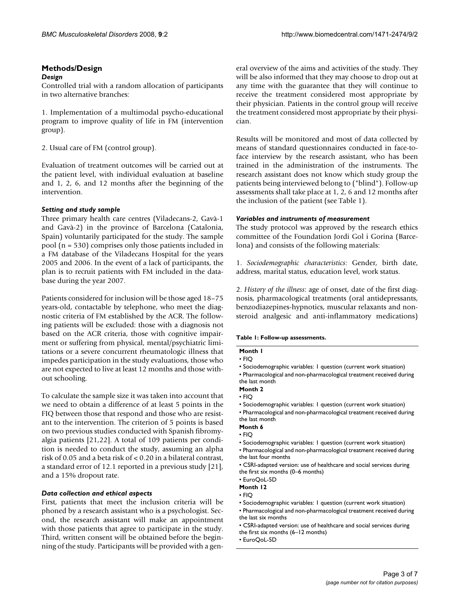## **Methods/Design**

#### *Design*

Controlled trial with a random allocation of participants in two alternative branches:

1. Implementation of a multimodal psycho-educational program to improve quality of life in FM (intervention group).

2. Usual care of FM (control group).

Evaluation of treatment outcomes will be carried out at the patient level, with individual evaluation at baseline and 1, 2, 6, and 12 months after the beginning of the intervention.

## *Setting and study sample*

Three primary health care centres (Viladecans-2, Gavà-1 and Gavà-2) in the province of Barcelona (Catalonia, Spain) voluntarily participated for the study. The sample pool (n = 530) comprises only those patients included in a FM database of the Viladecans Hospital for the years 2005 and 2006. In the event of a lack of participants, the plan is to recruit patients with FM included in the database during the year 2007.

Patients considered for inclusion will be those aged 18–75 years-old, contactable by telephone, who meet the diagnostic criteria of FM established by the ACR. The following patients will be excluded: those with a diagnosis not based on the ACR criteria, those with cognitive impairment or suffering from physical, mental/psychiatric limitations or a severe concurrent rheumatologic illness that impedes participation in the study evaluations, those who are not expected to live at least 12 months and those without schooling.

To calculate the sample size it was taken into account that we need to obtain a difference of at least 5 points in the FIQ between those that respond and those who are resistant to the intervention. The criterion of 5 points is based on two previous studies conducted with Spanish fibromyalgia patients [21,22]. A total of 109 patients per condition is needed to conduct the study, assuming an alpha risk of 0.05 and a beta risk of < 0.20 in a bilateral contrast, a standard error of 12.1 reported in a previous study [21], and a 15% dropout rate.

## *Data collection and ethical aspects*

First, patients that meet the inclusion criteria will be phoned by a research assistant who is a psychologist. Second, the research assistant will make an appointment with those patients that agree to participate in the study. Third, written consent will be obtained before the beginning of the study. Participants will be provided with a general overview of the aims and activities of the study. They will be also informed that they may choose to drop out at any time with the guarantee that they will continue to receive the treatment considered most appropriate by their physician. Patients in the control group will receive the treatment considered most appropriate by their physician.

Results will be monitored and most of data collected by means of standard questionnaires conducted in face-toface interview by the research assistant, who has been trained in the administration of the instruments. The research assistant does not know which study group the patients being interviewed belong to ("blind"). Follow-up assessments shall take place at 1, 2, 6 and 12 months after the inclusion of the patient (see Table 1).

## *Variables and instruments of measurement*

The study protocol was approved by the research ethics committee of the Foundation Jordi Gol i Gorina (Barcelona) and consists of the following materials:

1. *Sociodemographic characteristics*: Gender, birth date, address, marital status, education level, work status.

2. *History of the illness*: age of onset, date of the first diagnosis, pharmacological treatments (oral antidepressants, benzodiazepines-hypnotics, muscular relaxants and nonsteroid analgesic and anti-inflammatory medications)

#### **Table 1: Follow-up assessments.**

## **Month 1**

## **Month 2**

• FIQ

• Sociodemographic variables: 1 question (current work situation)

• Pharmacological and non-pharmacological treatment received during the last month

## **Month 6**

• Sociodemographic variables: 1 question (current work situation)

• Pharmacological and non-pharmacological treatment received during the last four months

• CSRI-adapted version: use of healthcare and social services during the first six months (0–6 months)

## • EuroQoL-5D

- **Month 12** • FIQ
- Sociodemographic variables: 1 question (current work situation)
- Pharmacological and non-pharmacological treatment received during the last six months
- CSRI-adapted version: use of healthcare and social services during the first six months (6–12 months)
- EuroQoL-5D

<sup>•</sup> FIQ

<sup>•</sup> Sociodemographic variables: 1 question (current work situation)

<sup>•</sup> Pharmacological and non-pharmacological treatment received during the last month

<sup>•</sup> FIQ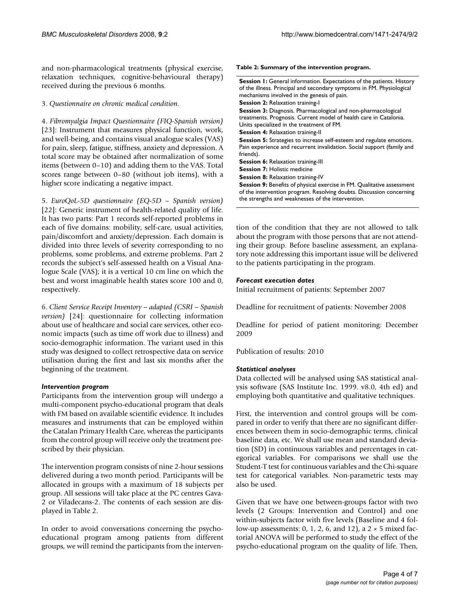and non-pharmacological treatments (physical exercise, relaxation techniques, cognitive-behavioural therapy) received during the previous 6 months.

3. *Questionnaire on chronic medical condition*.

4. *Fibromyalgia Impact Questionnaire (FIQ-Spanish version)* [23]: Instrument that measures physical function, work, and well-being, and contains visual analogue scales (VAS) for pain, sleep, fatigue, stiffness, anxiety and depression. A total score may be obtained after normalization of some items (between 0–10) and adding them to the VAS. Total scores range between 0–80 (without job items), with a higher score indicating a negative impact.

5. *EuroQoL-5D questionnaire (EQ-5D – Spanish version)* [22]: Generic instrument of health-related quality of life. It has two parts: Part 1 records self-reported problems in each of five domains: mobility, self-care, usual activities, pain/discomfort and anxiety/depression. Each domain is divided into three levels of severity corresponding to no problems, some problems, and extreme problems. Part 2 records the subject's self-assessed health on a Visual Analogue Scale (VAS); it is a vertical 10 cm line on which the best and worst imaginable health states score 100 and 0, respectively.

6. *Client Service Receipt Inventory – adapted (CSRI – Spanish version*) [24]: questionnaire for collecting information about use of healthcare and social care services, other economic impacts (such as time off work due to illness) and socio-demographic information. The variant used in this study was designed to collect retrospective data on service utilisation during the first and last six months after the beginning of the treatment.

## *Intervention program*

Participants from the intervention group will undergo a multi-component psycho-educational program that deals with FM based on available scientific evidence. It includes measures and instruments that can be employed within the Catalan Primary Health Care, whereas the participants from the control group will receive only the treatment prescribed by their physician.

The intervention program consists of nine 2-hour sessions delivered during a two month period. Participants will be allocated in groups with a maximum of 18 subjects per group. All sessions will take place at the PC centres Gava-2 or Viladecans-2. The contents of each session are displayed in Table 2.

In order to avoid conversations concerning the psychoeducational program among patients from different groups, we will remind the participants from the interven**Table 2: Summary of the intervention program.**

| Session 1: General information. Expectations of the patients. History<br>of the illness. Principal and secondary symptoms in FM. Physiological<br>mechanisms involved in the genesis of pain.              |
|------------------------------------------------------------------------------------------------------------------------------------------------------------------------------------------------------------|
| <b>Session 2: Relaxation training-I</b>                                                                                                                                                                    |
| Session 3: Diagnosis. Pharmacological and non-pharmacological<br>treatments. Prognosis. Current model of health care in Catalonia.<br>Units specialized in the treatment of FM.                            |
| <b>Session 4: Relaxation training-II</b>                                                                                                                                                                   |
| <b>Session 5:</b> Strategies to increase self-esteem and regulate emotions.<br>Pain experience and recurrent invalidation. Social support (family and<br>friends).                                         |
| <b>Session 6: Relaxation training-III</b>                                                                                                                                                                  |
| <b>Session 7: Holistic medicine</b>                                                                                                                                                                        |
| <b>Session 8: Relaxation training-IV</b>                                                                                                                                                                   |
| <b>Session 9:</b> Benefits of physical exercise in FM. Qualitative assessment<br>of the intervention program. Resolving doubts. Discussion concerning<br>the strengths and weaknesses of the intervention. |

tion of the condition that they are not allowed to talk about the program with those persons that are not attending their group. Before baseline assessment, an explanatory note addressing this important issue will be delivered to the patients participating in the program.

## *Forecast execution dates*

Initial recruitment of patients: September 2007

Deadline for recruitment of patients: November 2008

Deadline for period of patient monitoring: December 2009

Publication of results: 2010

## *Statistical analyses*

Data collected will be analysed using SAS statistical analysis software (SAS Institute Inc. 1999. v8.0, 4th ed) and employing both quantitative and qualitative techniques.

First, the intervention and control groups will be compared in order to verify that there are no significant differences between them in socio-demographic terms, clinical baseline data, etc. We shall use mean and standard deviation (SD) in continuous variables and percentages in categorical variables. For comparisons we shall use the Student-T test for continuous variables and the Chi-square test for categorical variables. Non-parametric tests may also be used.

Given that we have one between-groups factor with two levels (2 Groups: Intervention and Control) and one within-subjects factor with five levels (Baseline and 4 follow-up assessments: 0, 1, 2, 6, and 12), a  $2 \times 5$  mixed factorial ANOVA will be performed to study the effect of the psycho-educational program on the quality of life. Then,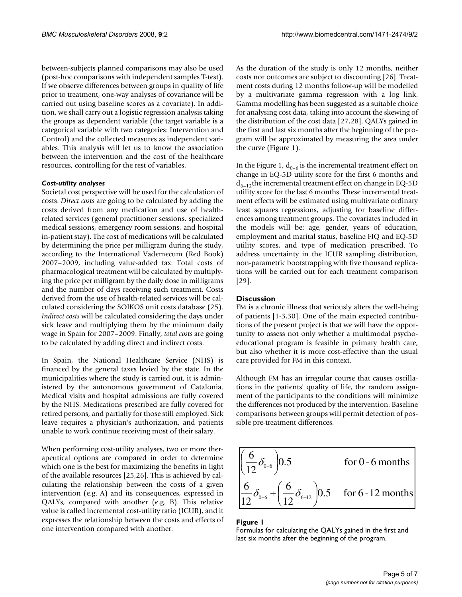between-subjects planned comparisons may also be used (post-hoc comparisons with independent samples T-test). If we observe differences between groups in quality of life prior to treatment, one-way analyses of covariance will be carried out using baseline scores as a covariate). In addition, we shall carry out a logistic regression analysis taking the groups as dependent variable (the target variable is a categorical variable with two categories: Intervention and Control) and the collected measures as independent variables. This analysis will let us to know the association between the intervention and the cost of the healthcare resources, controlling for the rest of variables.

## *Cost-utility analyses*

Societal cost perspective will be used for the calculation of costs. *Direct costs* are going to be calculated by adding the costs derived from any medication and use of healthrelated services (general practitioner sessions, specialized medical sessions, emergency room sessions, and hospital in-patient stay). The cost of medications will be calculated by determining the price per milligram during the study, according to the International Vademecum (Red Book) 2007–2009, including value-added tax. Total costs of pharmacological treatment will be calculated by multiplying the price per milligram by the daily dose in milligrams and the number of days receiving such treatment. Costs derived from the use of health-related services will be calculated considering the SOIKOS unit costs database (25). *Indirect costs* will be calculated considering the days under sick leave and multiplying them by the minimum daily wage in Spain for 2007–2009. Finally, *total costs* are going to be calculated by adding direct and indirect costs.

In Spain, the National Healthcare Service (NHS) is financed by the general taxes levied by the state. In the municipalities where the study is carried out, it is administered by the autonomous government of Catalonia. Medical visits and hospital admissions are fully covered by the NHS. Medications prescribed are fully covered for retired persons, and partially for those still employed. Sick leave requires a physician's authorization, and patients unable to work continue receiving most of their salary.

When performing cost-utility analyses, two or more therapeutical options are compared in order to determine which one is the best for maximizing the benefits in light of the available resources [25,26]. This is achieved by calculating the relationship between the costs of a given intervention (e.g. A) and its consequences, expressed in QALYs, compared with another (e.g. B). This relative value is called incremental cost-utility ratio (ICUR), and it expresses the relationship between the costs and effects of one intervention compared with another.

As the duration of the study is only 12 months, neither costs nor outcomes are subject to discounting [26]. Treatment costs during 12 months follow-up will be modelled by a multivariate gamma regression with a log link. Gamma modelling has been suggested as a suitable choice for analysing cost data, taking into account the skewing of the distribution of the cost data [27,28]. QALYs gained in the first and last six months after the beginning of the program will be approximated by measuring the area under the curve (Figure 1).

In the Figure 1,  $d_{0-6}$  is the incremental treatment effect on change in EQ-5D utility score for the first 6 months and  $d_{6-12}$ the incremental treatment effect on change in EQ-5D utility score for the last 6 months. These incremental treatment effects will be estimated using multivariate ordinary least squares regressions, adjusting for baseline differences among treatment groups. The covariates included in the models will be: age, gender, years of education, employment and marital status, baseline FIQ and EQ-5D utility scores, and type of medication prescribed. To address uncertainty in the ICUR sampling distribution, non-parametric bootstrapping with five thousand replications will be carried out for each treatment comparison [29].

## **Discussion**

FM is a chronic illness that seriously alters the well-being of patients [1-3,30]. One of the main expected contributions of the present project is that we will have the opportunity to assess not only whether a multimodal psychoeducational program is feasible in primary health care, but also whether it is more cost-effective than the usual care provided for FM in this context.

Although FM has an irregular course that causes oscillations in the patients' quality of life, the random assignment of the participants to the conditions will minimize the differences not produced by the intervention. Baseline comparisons between groups will permit detection of possible pre-treatment differences.



#### Figure 1

Formulas for calculating the QALYs gained in the first and last six months after the beginning of the program.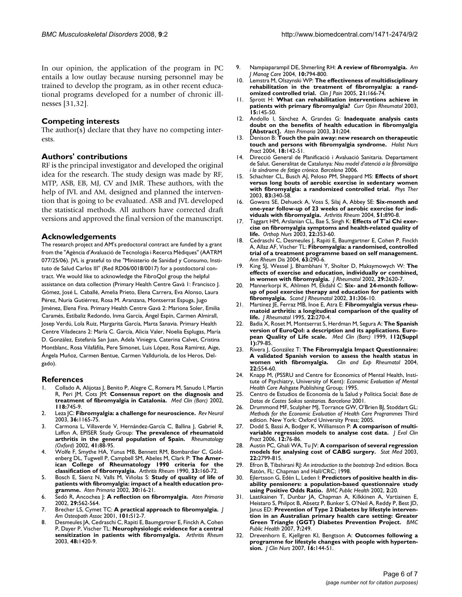In our opinion, the application of the program in PC entails a low outlay because nursing personnel may be trained to develop the program, as in other recent educational programs developed for a number of chronic illnesses [31,32].

#### **Competing interests**

The author(s) declare that they have no competing interests.

#### **Authors' contributions**

RF is the principal investigator and developed the original idea for the research. The study design was made by RF, MTP, ASB, EB, MJ, CV and JMR. These authors, with the help of JVL and AM, designed and planned the intervention that is going to be evaluated. ASB and JVL developed the statistical methods. All authors have corrected draft versions and approved the final version of the manuscript.

#### **Acknowledgements**

The research project and AM's predoctoral contract are funded by a grant from the "Agència d'Avaluació de Tecnologia i Recerca Mèdiques" (AATRM 077/25/06). JVL is grateful to the "Ministerio de Sanidad y Consumo, Instituto de Salud Carlos III" (Red RD06/0018/0017) for a postdoctoral contract. We would like to acknowledge the FibroQol group the helpful assistance on data collection (Primary Health Centre Gavà 1: Francisco J. Gómez, José L. Caballé, Amelia Prieto, Elena Carrera, Eva Alonso, Laura Pérez, Nuria Gutiérrez, Rosa M. Aranzana, Montserrat Espuga, Jugo Jiménez, Elena Fina. Primary Health Centre Gavà 2: Mariona Soler, Emilia Caramés, Estíbaliz Redondo, Inma García, Ángel Espín, Carmen Almirall, Josep Verdú, Lola Ruiz, Margarita García, Marta Sanavia. Primary Health Centre Viladecans 2: María C. García, Alicia Valer, Noelia Esplugas, María D. González, Estefanía San Juan, Adela Viniegra, Caterina Calvet, Cristina Montblanc, Rosa Vilafáfila, Pere Simonet, Luis López, Rosa Ramírez, Aige, Ángela Muñoz, Carmen Bentue, Carmen Vallduriola, de los Heros, Delgado).

#### **References**

- Collado A, Alijotas J, Benito P, Alegre C, Romera M, Sanudo I, Martin R, Peri JM, Cots JM: **[Consensus report on the diagnosis and](http://www.ncbi.nlm.nih.gov/entrez/query.fcgi?cmd=Retrieve&db=PubMed&dopt=Abstract&list_uids=12049708) [treatment of fibromyalgia in Catalonia.](http://www.ncbi.nlm.nih.gov/entrez/query.fcgi?cmd=Retrieve&db=PubMed&dopt=Abstract&list_uids=12049708)** *Med Clin (Barc)* 2002, **118:**745-9.
- 2. Leza JC: **[Fibromyalgia: a challenge for neuroscience.](http://www.ncbi.nlm.nih.gov/entrez/query.fcgi?cmd=Retrieve&db=PubMed&dopt=Abstract&list_uids=12833238)** *Rev Neurol* 2003, **36:**1165-75.
- 3. Carmona L, Villaverde V, Hernández-García C, Ballina J, Gabriel R, Laffon A, EPISER Study Group: **[The prevalence of rheumatoid](http://www.ncbi.nlm.nih.gov/entrez/query.fcgi?cmd=Retrieve&db=PubMed&dopt=Abstract&list_uids=11792885) [arthritis in the general population of Spain.](http://www.ncbi.nlm.nih.gov/entrez/query.fcgi?cmd=Retrieve&db=PubMed&dopt=Abstract&list_uids=11792885)** *Rheumatology (Oxford)* 2002, **41:**88-95.
- 4. Wolfe F, Smythe HA, Yunus MB, Bennett RM, Bombardier C, Goldenberg DL, Tugwell P, Campbell SM, Abeles M, Clark P: **[The Amer](http://www.ncbi.nlm.nih.gov/entrez/query.fcgi?cmd=Retrieve&db=PubMed&dopt=Abstract&list_uids=2306288)[ican College of Rheumatology 1990 criteria for the](http://www.ncbi.nlm.nih.gov/entrez/query.fcgi?cmd=Retrieve&db=PubMed&dopt=Abstract&list_uids=2306288) [classification of fibromyalgia.](http://www.ncbi.nlm.nih.gov/entrez/query.fcgi?cmd=Retrieve&db=PubMed&dopt=Abstract&list_uids=2306288)** *Arthritis Rheum* 1990, **33:**160-72.
- 5. Bosch E, Sáenz N, Valls M, Viñolas S: **[Study of quality of life of](http://www.ncbi.nlm.nih.gov/entrez/query.fcgi?cmd=Retrieve&db=PubMed&dopt=Abstract&list_uids=12106575) [patients with fibromyalgia: impact of a health education pro](http://www.ncbi.nlm.nih.gov/entrez/query.fcgi?cmd=Retrieve&db=PubMed&dopt=Abstract&list_uids=12106575)[gramme.](http://www.ncbi.nlm.nih.gov/entrez/query.fcgi?cmd=Retrieve&db=PubMed&dopt=Abstract&list_uids=12106575)** *Aten Primaria* 2002, **30:**16-21.
- 6. Sedó R, Ancochea J: **[A reflection on fibromyalgia.](http://www.ncbi.nlm.nih.gov/entrez/query.fcgi?cmd=Retrieve&db=PubMed&dopt=Abstract&list_uids=12061988)** *Aten Primaria* 2002, **29:**562-564.
- 7. Brecher LS, Cymet TC: **[A practical approach to fibromyalgia.](http://www.ncbi.nlm.nih.gov/entrez/query.fcgi?cmd=Retrieve&db=PubMed&dopt=Abstract&list_uids=11392205)** *J Am Osteopath Assoc* 2001, **101:**S12-7.
- 8. Desmeules JA, Cedraschi C, Rapiti E, Baumgartner E, Finckh A, Cohen P, Dayer P, Vischer TL: **[Neurophysiologic evidence for a central](http://www.ncbi.nlm.nih.gov/entrez/query.fcgi?cmd=Retrieve&db=PubMed&dopt=Abstract&list_uids=12746916) [sensitization in patients with fibromyalgia.](http://www.ncbi.nlm.nih.gov/entrez/query.fcgi?cmd=Retrieve&db=PubMed&dopt=Abstract&list_uids=12746916)** *Arthritis Rheum* 2003, **48:**1420-9.
- 9. Nampiaparampil DE, Shmerling RH: **[A review of fibromyalgia.](http://www.ncbi.nlm.nih.gov/entrez/query.fcgi?cmd=Retrieve&db=PubMed&dopt=Abstract&list_uids=15623268)** *Am J Manag Care* 2004, **10:**794-800.
- 10. Lemstra M, Olszynski WP: **[The effectiveness of multidisciplinary](http://www.ncbi.nlm.nih.gov/entrez/query.fcgi?cmd=Retrieve&db=PubMed&dopt=Abstract&list_uids=15722810) [rehabilitation in the treatment of fibromyalgia: a rand](http://www.ncbi.nlm.nih.gov/entrez/query.fcgi?cmd=Retrieve&db=PubMed&dopt=Abstract&list_uids=15722810)[omized controlled trial.](http://www.ncbi.nlm.nih.gov/entrez/query.fcgi?cmd=Retrieve&db=PubMed&dopt=Abstract&list_uids=15722810)** *Clin J Pain* 2005, **21:**166-74.
- 11. Sprott H: **[What can rehabilitation interventions achieve in](http://www.ncbi.nlm.nih.gov/entrez/query.fcgi?cmd=Retrieve&db=PubMed&dopt=Abstract&list_uids=12598803) [patients with primary fibromyalgia?](http://www.ncbi.nlm.nih.gov/entrez/query.fcgi?cmd=Retrieve&db=PubMed&dopt=Abstract&list_uids=12598803)** *Curr Opin Rheumatol* 2003, **15:**145-50.
- 12. Andollo I, Sánchez A, Grandes G: **[Inadequate analysis casts](http://www.ncbi.nlm.nih.gov/entrez/query.fcgi?cmd=Retrieve&db=PubMed&dopt=Abstract&list_uids=12622993) [doubt on the benefits of health education in fibromyalgia](http://www.ncbi.nlm.nih.gov/entrez/query.fcgi?cmd=Retrieve&db=PubMed&dopt=Abstract&list_uids=12622993) [\[Abstract\].](http://www.ncbi.nlm.nih.gov/entrez/query.fcgi?cmd=Retrieve&db=PubMed&dopt=Abstract&list_uids=12622993)** *Aten Primaria* 2003, **31:**204.
- 13. Denison B: **[Touch the pain away: new research on therapeutic](http://www.ncbi.nlm.nih.gov/entrez/query.fcgi?cmd=Retrieve&db=PubMed&dopt=Abstract&list_uids=15222602) [touch and persons with fibromyalgia syndrome.](http://www.ncbi.nlm.nih.gov/entrez/query.fcgi?cmd=Retrieve&db=PubMed&dopt=Abstract&list_uids=15222602)** *Holist Nurs Pract* 2004, **18:**142-51.
- 14. Direcció General de Planificació i Avaluació Sanitaria. Departament de Salut. Generalitat de Catalunya: *Nou model d'atenció a la fibromiàlgia i la síndrome de fatiga crònica. Barcelona* 2006.
- 15. Schachter CL, Busch AJ, Peloso PM, Sheppard MS: **[Effects of short](http://www.ncbi.nlm.nih.gov/entrez/query.fcgi?cmd=Retrieve&db=PubMed&dopt=Abstract&list_uids=12665405) [versus long bouts of aerobic exercise in sedentary women](http://www.ncbi.nlm.nih.gov/entrez/query.fcgi?cmd=Retrieve&db=PubMed&dopt=Abstract&list_uids=12665405) [with fibromyalgia: a randomized controlled trial.](http://www.ncbi.nlm.nih.gov/entrez/query.fcgi?cmd=Retrieve&db=PubMed&dopt=Abstract&list_uids=12665405)** *Phys Ther* 2003, **83:**340-58.
- 16. Gowans SE, Dehueck A, Voss S, Silaj A, Abbey SE: **[Six-month and](http://www.ncbi.nlm.nih.gov/entrez/query.fcgi?cmd=Retrieve&db=PubMed&dopt=Abstract&list_uids=15593364) [one-year follow-up of 23 weeks of aerobic exercise for indi](http://www.ncbi.nlm.nih.gov/entrez/query.fcgi?cmd=Retrieve&db=PubMed&dopt=Abstract&list_uids=15593364)[viduals with fibromyalgia.](http://www.ncbi.nlm.nih.gov/entrez/query.fcgi?cmd=Retrieve&db=PubMed&dopt=Abstract&list_uids=15593364)** *Arthritis Rheum* 2004, **51:**890-8.
- 17. Taggart HM, Arslanian CL, Bae S, Singh K: **[Effects of T'ai Chi exer](http://www.ncbi.nlm.nih.gov/entrez/query.fcgi?cmd=Retrieve&db=PubMed&dopt=Abstract&list_uids=14595996)[cise on fibromyalgia symptoms and health-related quality of](http://www.ncbi.nlm.nih.gov/entrez/query.fcgi?cmd=Retrieve&db=PubMed&dopt=Abstract&list_uids=14595996) [life.](http://www.ncbi.nlm.nih.gov/entrez/query.fcgi?cmd=Retrieve&db=PubMed&dopt=Abstract&list_uids=14595996)** *Orthop Nurs* 2003, **22:**353-60.
- 18. Cedraschi C, Desmeules J, Rapiti E, Baumgartner E, Cohen P, Finckh A, Allaz AF, Vischer TL: **[Fibromyalgia: a randomised, controlled](http://www.ncbi.nlm.nih.gov/entrez/query.fcgi?cmd=Retrieve&db=PubMed&dopt=Abstract&list_uids=14962965) [trial of a treatment programme based on self management.](http://www.ncbi.nlm.nih.gov/entrez/query.fcgi?cmd=Retrieve&db=PubMed&dopt=Abstract&list_uids=14962965)** *Ann Rheum Dis* 2004, **63:**290-6.
- 19. King SJ, Wessel J, Bhambhani Y, Sholter D, Maksymowych W: **[The](http://www.ncbi.nlm.nih.gov/entrez/query.fcgi?cmd=Retrieve&db=PubMed&dopt=Abstract&list_uids=12465163) [effects of exercise and education, individually or combined,](http://www.ncbi.nlm.nih.gov/entrez/query.fcgi?cmd=Retrieve&db=PubMed&dopt=Abstract&list_uids=12465163) [in women with fibromyalgia.](http://www.ncbi.nlm.nih.gov/entrez/query.fcgi?cmd=Retrieve&db=PubMed&dopt=Abstract&list_uids=12465163)** *J Rheumatol* 2002, **29:**2620-7.
- 20. Mannerkorpi K, Ahlmen M, Ekdahl C: **[Six- and 24-month follow](http://www.ncbi.nlm.nih.gov/entrez/query.fcgi?cmd=Retrieve&db=PubMed&dopt=Abstract&list_uids=12455823)[up of pool exercise therapy and education for patients with](http://www.ncbi.nlm.nih.gov/entrez/query.fcgi?cmd=Retrieve&db=PubMed&dopt=Abstract&list_uids=12455823) [fibromyalgia.](http://www.ncbi.nlm.nih.gov/entrez/query.fcgi?cmd=Retrieve&db=PubMed&dopt=Abstract&list_uids=12455823)** *Scand J Rheumatol* 2002, **31:**306-10.
- 21. Martínez JE, Ferraz MB, Inoe E, Atra E: **[Fibromyalgia versus rheu](http://www.ncbi.nlm.nih.gov/entrez/query.fcgi?cmd=Retrieve&db=PubMed&dopt=Abstract&list_uids=7738950)[matoid arthritis: a longitudinal comparison of the quality of](http://www.ncbi.nlm.nih.gov/entrez/query.fcgi?cmd=Retrieve&db=PubMed&dopt=Abstract&list_uids=7738950) [life.](http://www.ncbi.nlm.nih.gov/entrez/query.fcgi?cmd=Retrieve&db=PubMed&dopt=Abstract&list_uids=7738950)** *J Rheumatol* 1995, **22:**270-4.
- 22. Badia X, Roset M, Montserrat S, Herdman M, Segura A: **[The Spanish](http://www.ncbi.nlm.nih.gov/entrez/query.fcgi?cmd=Retrieve&db=PubMed&dopt=Abstract&list_uids=10618804) [version of EuroQol: a description and its applications. Euro](http://www.ncbi.nlm.nih.gov/entrez/query.fcgi?cmd=Retrieve&db=PubMed&dopt=Abstract&list_uids=10618804)[pean Quality of Life scale.](http://www.ncbi.nlm.nih.gov/entrez/query.fcgi?cmd=Retrieve&db=PubMed&dopt=Abstract&list_uids=10618804)** *Med Clin (Barc)* 1999, **112(Suppl 1):**79-85.
- 23. Rivera J, González T: **The Fibromyalgia Impact Questionnaire: A validated Spanish version to assess the health status in women with fibromyalgia.** *Clin and Exp Rheumatol* 2004, **22:**554-60.
- 24. Knapp M, (PSSRU and Centre for Economics of Mental Health, Institute of Psychiatry, University of Kent): *Economic Evaluation of Mental Health Care* Ashgate Publishing Group; 1995.
- 25. Centro de Estudios de Economía de la Salud y Política Social: *Base de Datos de Costes Soikos sanitarias. Barcelona* 2001.
- 26. Drummond MF, Sculpher MJ, Torrance GW, O'Brien BJ, Stoddart GL: *Methods for the Economic Evaluation of Health Care Programmes* Third edition. New York: Oxford University Press; 2005.
- 27. Dodd S, Bassi A, Bodger K, Williamson P: **[A comparison of multi](http://www.ncbi.nlm.nih.gov/entrez/query.fcgi?cmd=Retrieve&db=PubMed&dopt=Abstract&list_uids=16422782)[variable regression models to analyse cost data.](http://www.ncbi.nlm.nih.gov/entrez/query.fcgi?cmd=Retrieve&db=PubMed&dopt=Abstract&list_uids=16422782)** *J Eval Clin Pract* 2006, **12:**76-86.
- 28. Austin PC, Ghali WA, Tu JV: **[A comparison of several regression](http://www.ncbi.nlm.nih.gov/entrez/query.fcgi?cmd=Retrieve&db=PubMed&dopt=Abstract&list_uids=12939787) [models for analysing cost of CABG surgery.](http://www.ncbi.nlm.nih.gov/entrez/query.fcgi?cmd=Retrieve&db=PubMed&dopt=Abstract&list_uids=12939787)** *Stat Med* 2003, **22:**2799-815.
- 29. Efron B, Tibshirani RJ: *An introduction to the bootstrap* 2nd edition. Boca Ratón, FL: Chapman and Hall/CRC; 1998.
- 30. Ejlertsson G, Edén L, Leden I: **[Predictors of positive health in dis](http://www.ncbi.nlm.nih.gov/entrez/query.fcgi?cmd=Retrieve&db=PubMed&dopt=Abstract&list_uids=12225618)[ability pensioners: a population-based questionnaire study](http://www.ncbi.nlm.nih.gov/entrez/query.fcgi?cmd=Retrieve&db=PubMed&dopt=Abstract&list_uids=12225618) [using Positive Odds Ratio.](http://www.ncbi.nlm.nih.gov/entrez/query.fcgi?cmd=Retrieve&db=PubMed&dopt=Abstract&list_uids=12225618)** *BMC Public Health* 2002, **2:**20.
- Laatikainen T, Dunbar JA, Chapman A, Kilkkinen A, Vartiainen E, Heistaro S, Philpot B, Absetz P, Bunker S, O'Neil A, Reddy P, Best JD, Janus ED: **[Prevention of Type 2 Diabetes by lifestyle interven](http://www.ncbi.nlm.nih.gov/entrez/query.fcgi?cmd=Retrieve&db=PubMed&dopt=Abstract&list_uids=17877832)[tion in an Australian primary health care setting: Greater](http://www.ncbi.nlm.nih.gov/entrez/query.fcgi?cmd=Retrieve&db=PubMed&dopt=Abstract&list_uids=17877832) [Green Triangle \(GGT\) Diabetes Prevention Project.](http://www.ncbi.nlm.nih.gov/entrez/query.fcgi?cmd=Retrieve&db=PubMed&dopt=Abstract&list_uids=17877832)** *BMC Public Health* 2007, **7:**249.
- 32. Drevenhorn E, Kjellgren KI, Bengtson A: **[Outcomes following a](http://www.ncbi.nlm.nih.gov/entrez/query.fcgi?cmd=Retrieve&db=PubMed&dopt=Abstract&list_uids=17584423) [programme for lifestyle changes with people with hyperten](http://www.ncbi.nlm.nih.gov/entrez/query.fcgi?cmd=Retrieve&db=PubMed&dopt=Abstract&list_uids=17584423)[sion.](http://www.ncbi.nlm.nih.gov/entrez/query.fcgi?cmd=Retrieve&db=PubMed&dopt=Abstract&list_uids=17584423)** *J Clin Nurs* 2007, **16:**144-51.